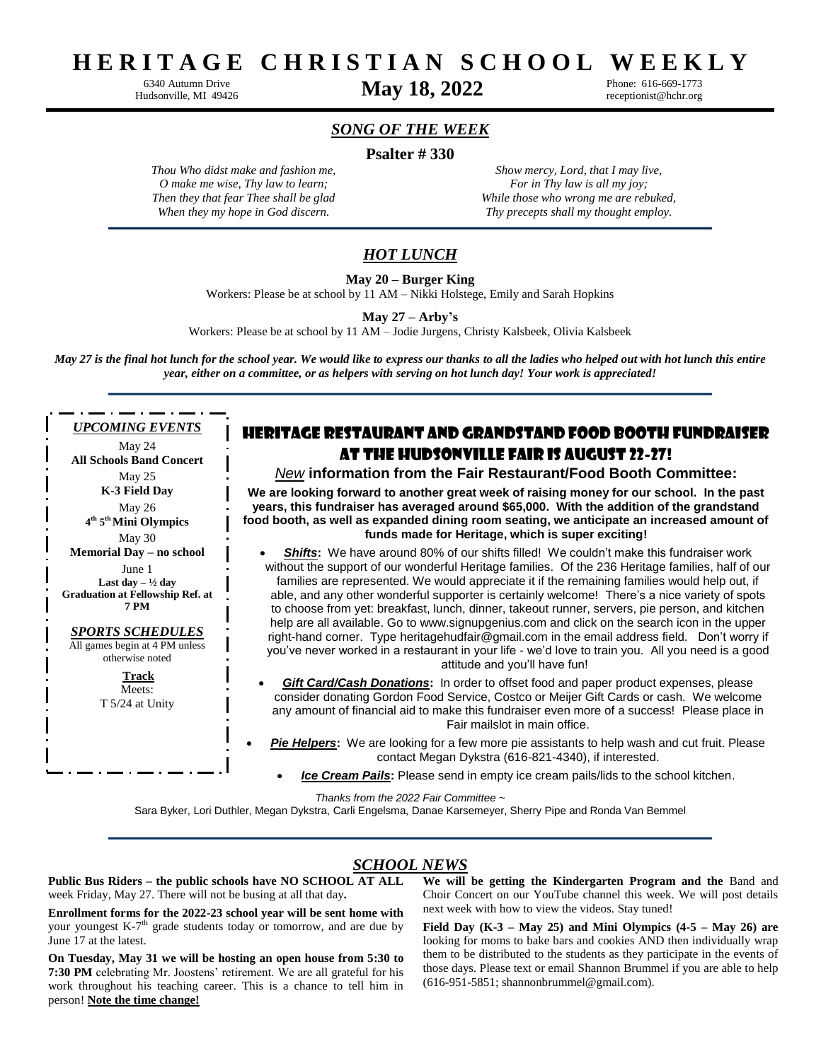**H E R I T A G E C H R I S T I A N S C H O O L W E E K L Y**

6340 Autumn Drive **May 18, 2022** Hudsonville, MI 49426 **receptionist EXECUTE: FOLLOGER REPAIRING REPAIRING REPAIRING REPAIRING REPAIRING REPAIRING REPAIRING REPAIRING REPAIRING REPAIRING REPAIRING REPAIRING REPAIRING REPAIRING REPAIRING REPAIRING REP** 

Phone: 616-669-1773

## *SONG OF THE WEEK* **Psalter # 330**

*Thou Who didst make and fashion me, O make me wise, Thy law to learn; Then they that fear Thee shall be glad When they my hope in God discern.* 

*Show mercy, Lord, that I may live, For in Thy law is all my joy; While those who wrong me are rebuked, Thy precepts shall my thought employ.*

### *HOT LUNCH*

**May 20 – Burger King**

Workers: Please be at school by 11 AM – Nikki Holstege, Emily and Sarah Hopkins

**May 27 – Arby's**

Workers: Please be at school by 11 AM – Jodie Jurgens, Christy Kalsbeek, Olivia Kalsbeek

*May 27 is the final hot lunch for the school year. We would like to express our thanks to all the ladies who helped out with hot lunch this entire year, either on a committee, or as helpers with serving on hot lunch day! Your work is appreciated!*

#### *UPCOMING EVENTS* May 24 **All Schools Band Concert**  May 25 **K-3 Field Day** May 26 **4 th 5 thMini Olympics** May 30 **Memorial Day – no school** June 1 **Last day – ½ day Graduation at Fellowship Ref. at 7 PM** *SPORTS SCHEDULES* All games begin at 4 PM unless otherwise noted

 **Track** Meets: T 5/24 at Unity

# Heritage Restaurant and Grandstand Food Booth Fundraiser at the Hudsonville Fair is August 22-27!

*New* **information from the Fair Restaurant/Food Booth Committee:**

**We are looking forward to another great week of raising money for our school. In the past years, this fundraiser has averaged around \$65,000. With the addition of the grandstand food booth, as well as expanded dining room seating, we anticipate an increased amount of funds made for Heritage, which is super exciting!**

 *Shifts***:** We have around 80% of our shifts filled! We couldn't make this fundraiser work without the support of our wonderful Heritage families. Of the 236 Heritage families, half of our families are represented. We would appreciate it if the remaining families would help out, if able, and any other wonderful supporter is certainly welcome! There's a nice variety of spots to choose from yet: breakfast, lunch, dinner, takeout runner, servers, pie person, and kitchen help are all available. Go to [www.signupgenius.com](http://www.signupgenius.com/) and click on the search icon in the upper right-hand corner. Type [heritagehudfair@gmail.com](mailto:heritagehudfair@gmail.com) in the email address field. Don't worry if you've never worked in a restaurant in your life - we'd love to train you. All you need is a good attitude and you'll have fun!

- *Gift Card/Cash Donations***:** In order to offset food and paper product expenses, please consider donating Gordon Food Service, Costco or Meijer Gift Cards or cash. We welcome any amount of financial aid to make this fundraiser even more of a success! Please place in Fair mailslot in main office.
- *Pie Helpers***:** We are looking for a few more pie assistants to help wash and cut fruit. Please contact Megan Dykstra (616-821-4340), if interested.
	- *Ice Cream Pails***:** Please send in empty ice cream pails/lids to the school kitchen.

*Thanks from the 2022 Fair Committee* ~

Sara Byker, Lori Duthler, Megan Dykstra, Carli Engelsma, Danae Karsemeyer, Sherry Pipe and Ronda Van Bemmel

#### *SCHOOL NEWS*

**Public Bus Riders – the public schools have NO SCHOOL AT ALL** week Friday, May 27. There will not be busing at all that day**.**

**Enrollment forms for the 2022-23 school year will be sent home with**  your youngest  $K$ -7<sup>th</sup> grade students today or tomorrow, and are due by June 17 at the latest.

**On Tuesday, May 31 we will be hosting an open house from 5:30 to 7:30 PM** celebrating Mr. Joostens' retirement. We are all grateful for his work throughout his teaching career. This is a chance to tell him in person! **Note the time change!**

**We will be getting the Kindergarten Program and the** Band and Choir Concert on our YouTube channel this week. We will post details next week with how to view the videos. Stay tuned!

**Field Day (K-3 – May 25) and Mini Olympics (4-5 – May 26) are**  looking for moms to bake bars and cookies AND then individually wrap them to be distributed to the students as they participate in the events of those days. Please text or email Shannon Brummel if you are able to help (616-951-5851; shannonbrummel@gmail.com).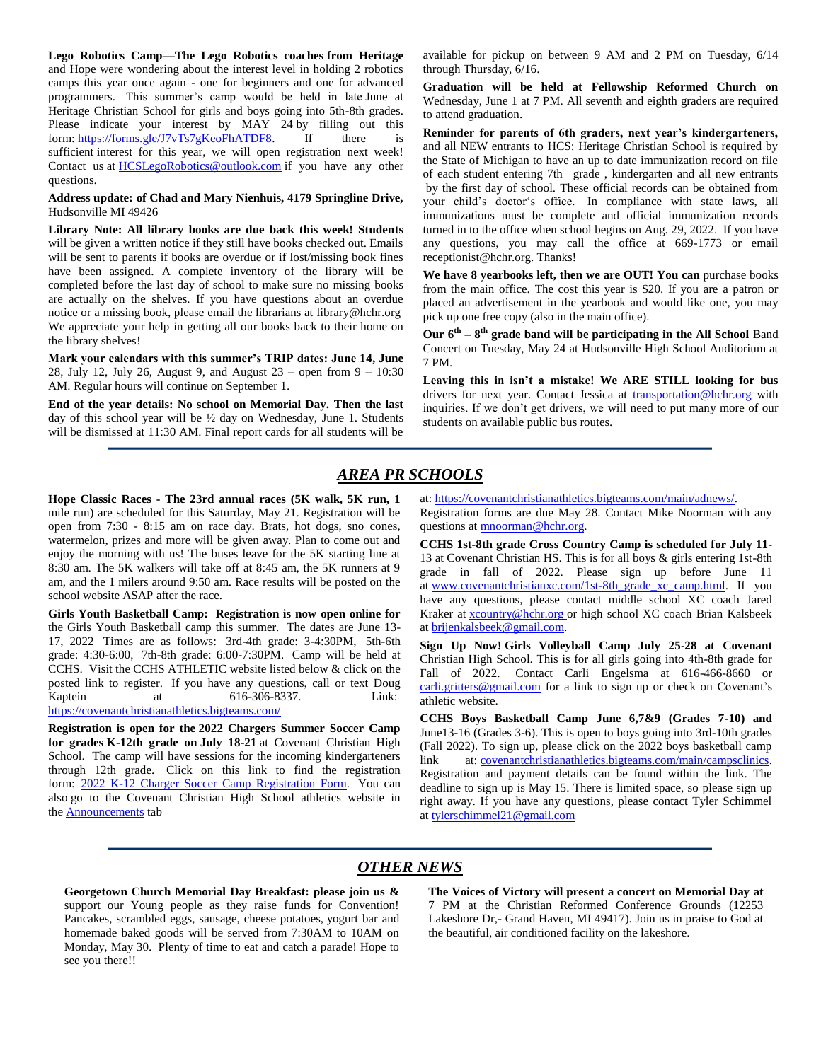**Lego Robotics Camp—The Lego Robotics coaches from Heritage**  and Hope were wondering about the interest level in holding 2 robotics camps this year once again - one for beginners and one for advanced programmers. This summer's camp would be held in late June at Heritage Christian School for girls and boys going into 5th-8th grades. Please indicate your interest by MAY 24 by filling out this form: [https://forms.gle/J7vTs7gKeoFhATDF8.](https://forms.gle/J7vTs7gKeoFhATDF8) If there is sufficient interest for this year, we will open registration next week! Contact us at [HCSLegoRobotics@outlook.com](mailto:HCSLegoRobotics@outlook.com) if you have any other questions.

**Address update: of Chad and Mary Nienhuis, 4179 Springline Drive,** Hudsonville MI 49426

**Library Note: All library books are due back this week! Students**  will be given a written notice if they still have books checked out. Emails will be sent to parents if books are overdue or if lost/missing book fines have been assigned. A complete inventory of the library will be completed before the last day of school to make sure no missing books are actually on the shelves. If you have questions about an overdue notice or a missing book, please email the librarians at [library@hchr.org](mailto:library@hchr.org) We appreciate your help in getting all our books back to their home on the library shelves!

**Mark your calendars with this summer's TRIP dates: June 14, June**  28, July 12, July 26, August 9, and August 23 – open from 9 – 10:30 AM. Regular hours will continue on September 1.

**End of the year details: No school on Memorial Day. Then the last** day of this school year will be ½ day on Wednesday, June 1. Students will be dismissed at 11:30 AM. Final report cards for all students will be

available for pickup on between 9 AM and 2 PM on Tuesday, 6/14 through Thursday, 6/16.

**Graduation will be held at Fellowship Reformed Church on** Wednesday, June 1 at 7 PM. All seventh and eighth graders are required to attend graduation.

**Reminder for parents of 6th graders, next year's kindergarteners,**  and all NEW entrants to HCS: Heritage Christian School is required by the State of Michigan to have an up to date immunization record on file of each student entering 7th grade , kindergarten and all new entrants by the first day of school. These official records can be obtained from your child's doctor's office. In compliance with state laws, all immunizations must be complete and official immunization records turned in to the office when school begins on Aug. 29, 2022. If you have any questions, you may call the office at 669-1773 or email [receptionist@hchr.org.](mailto:receptionist@hchr.org) Thanks!

**We have 8 yearbooks left, then we are OUT! You can** purchase books from the main office. The cost this year is \$20. If you are a patron or placed an advertisement in the yearbook and would like one, you may pick up one free copy (also in the main office).

**Our 6th – 8 th grade band will be participating in the All School** Band Concert on Tuesday, May 24 at Hudsonville High School Auditorium at 7 PM.

**Leaving this in isn't a mistake! We ARE STILL looking for bus**  drivers for next year. Contact Jessica at **transportation@hchr.org** with inquiries. If we don't get drivers, we will need to put many more of our students on available public bus routes.

#### *AREA PR SCHOOLS*

**Hope Classic Races - The 23rd annual races (5K walk, 5K run, 1**  mile run) are scheduled for this Saturday, May 21. Registration will be open from 7:30 - 8:15 am on race day. Brats, hot dogs, sno cones, watermelon, prizes and more will be given away. Plan to come out and enjoy the morning with us! The buses leave for the 5K starting line at 8:30 am. The 5K walkers will take off at 8:45 am, the 5K runners at 9 am, and the 1 milers around 9:50 am. Race results will be posted on the school website ASAP after the race.

**Girls Youth Basketball Camp: Registration is now open online for**  the Girls Youth Basketball camp this summer. The dates are June 13- 17, 2022 Times are as follows: 3rd-4th grade: 3-4:30PM, 5th-6th grade: 4:30-6:00, 7th-8th grade: 6:00-7:30PM. Camp will be held at CCHS. Visit the CCHS ATHLETIC website listed below & click on the posted link to register. If you have any questions, call or text Doug Kaptein at 616-306-8337. Link: <https://covenantchristianathletics.bigteams.com/>

**Registration is open for the 2022 Chargers Summer Soccer Camp for grades K-12th grade on July 18-21** at Covenant Christian High School. The camp will have sessions for the incoming kindergarteners through 12th grade. Click on this link to find the registration form: [2022 K-12 Charger Soccer Camp Registration Form.](https://forms.gle/ugRzTFezX3Knt8i2A) You can also go to the Covenant Christian High School athletics website in the [Announcements](https://covenantchristianathletics.bigteams.com/main/adnews/) tab

at: [https://covenantchristianathletics.bigteams.com/main/adnews/.](https://covenantchristianathletics.bigteams.com/main/adnews/)

Registration forms are due May 28. Contact Mike Noorman with any questions a[t mnoorman@hchr.org.](mailto:mnoorman@hchr.org)

**CCHS 1st-8th grade Cross Country Camp is scheduled for July 11-** 13 at Covenant Christian HS. This is for all boys & girls entering 1st-8th grade in fall of 2022. Please sign up before June 11 at [www.covenantchristianxc.com/1st-8th\\_grade\\_xc\\_camp.html.](https://www.covenantchristianxc.com/1st-8th_grade_xc_camp.html) If you have any questions, please contact middle school XC coach Jared Kraker at [xcountry@hchr.org](mailto:xcountry@hchr.org) or high school XC coach Brian Kalsbeek at [brijenkalsbeek@gmail.com.](mailto:brijenkalsbeek@gmail.com)

**Sign Up Now! Girls Volleyball Camp July 25-28 at Covenant**  Christian High School. This is for all girls going into 4th-8th grade for Fall of 2022. Contact Carli Engelsma at 616-466-8660 or [carli.gritters@gmail.com](mailto:carli.gritters@gmail.com) for a link to sign up or check on Covenant's athletic website.

**CCHS Boys Basketball Camp June 6,7&9 (Grades 7-10) and**  June13-16 (Grades 3-6). This is open to boys going into 3rd-10th grades (Fall 2022). To sign up, please click on the 2022 boys basketball camp link at: [covenantchristianathletics.bigteams.com/main/campsclinics.](http://covenantchristianathletics.bigteams.com/main/campsclinics) Registration and payment details can be found within the link. The deadline to sign up is May 15. There is limited space, so please sign up right away. If you have any questions, please contact Tyler Schimmel at [tylerschimmel21@gmail.com](mailto:tylerschimmel21@gmail.com) 

## *OTHER NEWS*

**Georgetown Church Memorial Day Breakfast: please join us &** support our Young people as they raise funds for Convention! Pancakes, scrambled eggs, sausage, cheese potatoes, yogurt bar and homemade baked goods will be served from 7:30AM to 10AM on Monday, May 30. Plenty of time to eat and catch a parade! Hope to see you there!!

**The Voices of Victory will present a concert on Memorial Day at** 7 PM at the Christian Reformed Conference Grounds (12253 Lakeshore Dr,- Grand Haven, MI 49417). Join us in praise to God at the beautiful, air conditioned facility on the lakeshore.